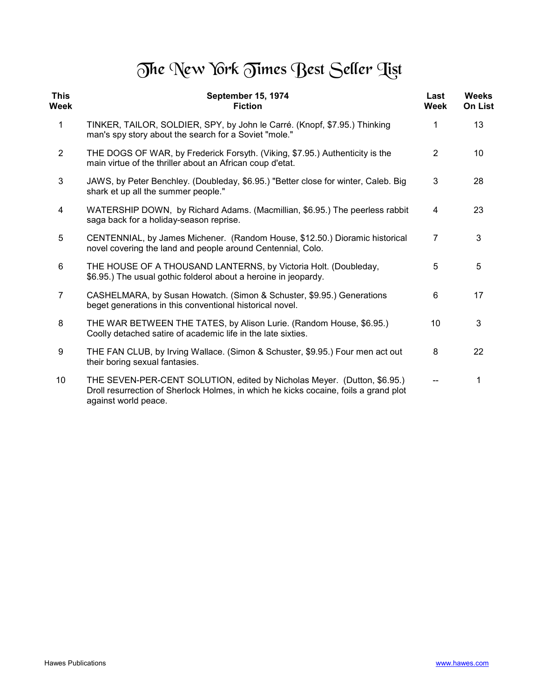## The New York Times Best Seller Tist

| <b>This</b><br>Week | September 15, 1974<br><b>Fiction</b>                                                                                                                                                     | Last<br>Week   | <b>Weeks</b><br><b>On List</b> |
|---------------------|------------------------------------------------------------------------------------------------------------------------------------------------------------------------------------------|----------------|--------------------------------|
| $\mathbf{1}$        | TINKER, TAILOR, SOLDIER, SPY, by John le Carré. (Knopf, \$7.95.) Thinking<br>man's spy story about the search for a Soviet "mole."                                                       | 1              | 13                             |
| $\overline{2}$      | THE DOGS OF WAR, by Frederick Forsyth. (Viking, \$7.95.) Authenticity is the<br>main virtue of the thriller about an African coup d'etat.                                                | $\overline{2}$ | 10                             |
| 3                   | JAWS, by Peter Benchley. (Doubleday, \$6.95.) "Better close for winter, Caleb. Big<br>shark et up all the summer people."                                                                | 3              | 28                             |
| 4                   | WATERSHIP DOWN, by Richard Adams. (Macmillian, \$6.95.) The peerless rabbit<br>saga back for a holiday-season reprise.                                                                   | 4              | 23                             |
| 5                   | CENTENNIAL, by James Michener. (Random House, \$12.50.) Dioramic historical<br>novel covering the land and people around Centennial, Colo.                                               | $\overline{7}$ | 3                              |
| 6                   | THE HOUSE OF A THOUSAND LANTERNS, by Victoria Holt. (Doubleday,<br>\$6.95.) The usual gothic folderol about a heroine in jeopardy.                                                       | 5              | 5                              |
| $\overline{7}$      | CASHELMARA, by Susan Howatch. (Simon & Schuster, \$9.95.) Generations<br>beget generations in this conventional historical novel.                                                        | 6              | 17                             |
| 8                   | THE WAR BETWEEN THE TATES, by Alison Lurie. (Random House, \$6.95.)<br>Coolly detached satire of academic life in the late sixties.                                                      | 10             | 3                              |
| 9                   | THE FAN CLUB, by Irving Wallace. (Simon & Schuster, \$9.95.) Four men act out<br>their boring sexual fantasies.                                                                          | 8              | 22                             |
| 10                  | THE SEVEN-PER-CENT SOLUTION, edited by Nicholas Meyer. (Dutton, \$6.95.)<br>Droll resurrection of Sherlock Holmes, in which he kicks cocaine, foils a grand plot<br>against world peace. |                | 1                              |